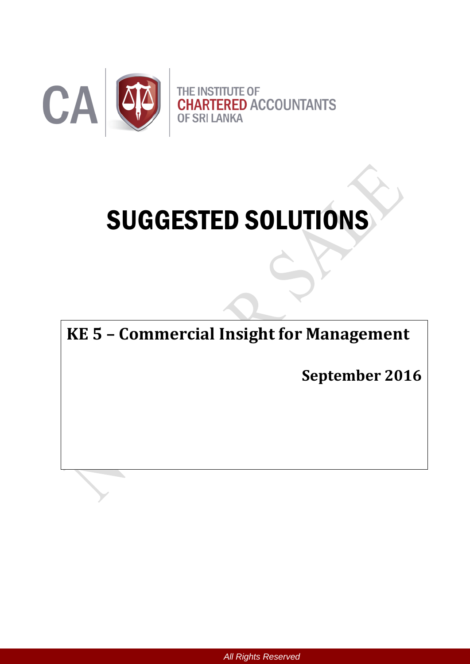

# SUGGESTED SOLUTIONS

**KE 5 – Commercial Insight for Management**

**September 2016**

*All Rights Reserved*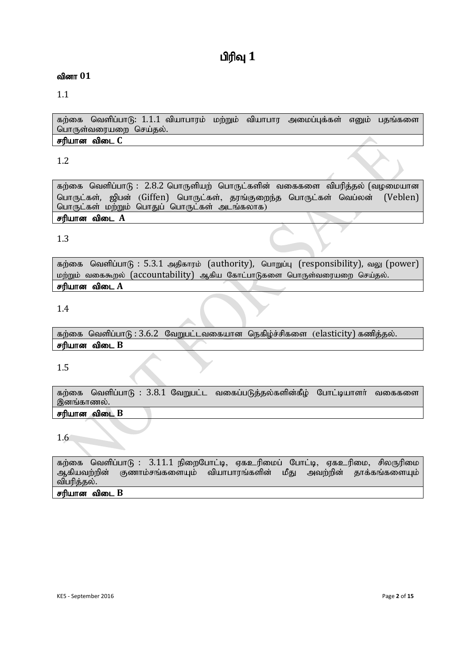# **பிரிவு** 1

## வினா  $01$

1.1

கற்கை வெளிப்பாடு: 1.1.1 வியாபாரம் மற்றும் வியாபார அமைப்புக்கள் எனும் பதங்களை பொருள்வரையறை செய்தல். சரியான விடை C

# 1.2

கற்கை வெளிப்பாடு:  $2.8.2$  பொருளியற் பொருட்களின் வகைகளை விபரித்தல் (வழமையான பொருட்கள், ஜிபன் (Giffen) பொருட்கள், காங்குறைந்த பொருட்கள் வெப்லன் (Veblen) பொருட்கள் மற்றும் பொதுப் பொருட்கள் அடங்கலாக)

# சரியான விடை A

# 1.3

கற்கை வெளிப்பாடு: 5.3.1 அதிகாரம் (authority), பொறுப்பு (responsibility), வலு (power) மற்றும் வகைகூறல் (accountability) ஆகிய கோட்பாடுகளை பொருள்வரையறை செய்தல். சரியான விடை A

#### 1.4

கற்கை வெளிப்பாடு:  $3.6.2$  வேறுபட்டவகையான நெகிழ்ச்சிகளை (elasticity) கணித்தல். சரியான விடை  $B$ 

# 1.5

கற்கை வெளிப்பாடு :  $3.8.1$  வேறுபட்ட வகைப்படுத்தல்களின்கீழ் போட்டியாளர் வகைகளை இனங்காணல்.

## சரியான விடை **B**

# 1.6

கற்கை வெளிப்பாடு : 3.11.1 நிறைபோட்டி, ஏகஉரிமைப் போட்டி, ஏகஉரிமை, சிலருரிமை<br>ஆகியவற்றின் குணாம்சங்களையம் வியாபாாங்களின் மீகு அவற்றின் காக்கங்களையம் குணாம்சங்களையும் வியாபாரங்களின் மீது அவற்றின் தாக்கங்களையும் விபரித்தல்.

#### சரியான விடை  $B$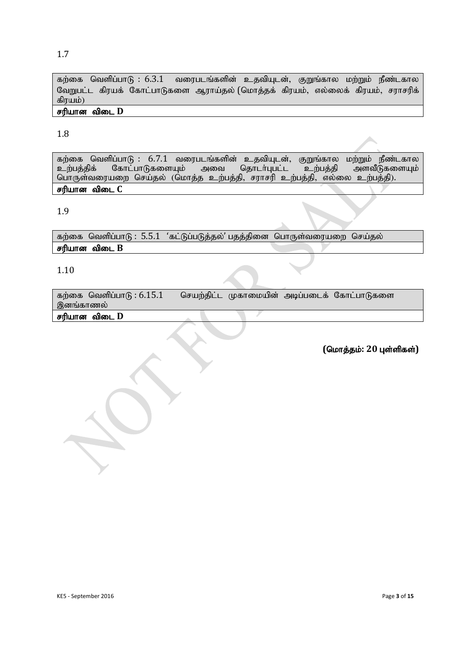#### 1.7

கற்கை வெளிப்பாடு : 6.3.1 வரைபடங்களின் உதவியுடன், குறுங்கால மற்றும் நீண்டகால வேறுபட்ட கிரயக் கோட்பாடுகளை ஆராய்தல் (மொத்தக் கிரயம், எல்லைக் கிரயம், சராசரிக் கிரயம்)

#### சரியான விடை **D**

#### 1.8

கற்கை வெளிப்பாடு : 6.7.1 வரைபடங்களின் உதவியுடன், குறுங்கால மற்றும் நீண்டகால<br>உற்பத்திக் கோட்பாடுகளையும் அவை தொடர்புபட்ட உற்பத்தி அளவீடுகளையும் உற்பத்திக் கோட்பாடுகளையும் அவை தொடா்புபட்ட உற்பத்தி அளவீடுகளையும்| பொருள்வரையறை செய்தல் (மொத்த உற்பத்தி, சராசரி உற்பத்தி, எல்லை உற்பத்தி). சரியான விடை C

#### 1.9

கற்கை வெளிப்பாடு:  $5.5.1$  'கட்டுப்படுத்தல்' பதத்தினை பொருள்வரையறை செய்தல் சரியான விடை  $B$ 

#### 1.10

கற்கை வெளிப்பாடு:  $6.15.1$  செயற்திட்ட முகாமையின் அடிப்படைக் கோட்பாடுகளை இனங்காணல்

#### சரியான விடை **D**

 $($ மொத்தம்: 20 புள்ளிகள்)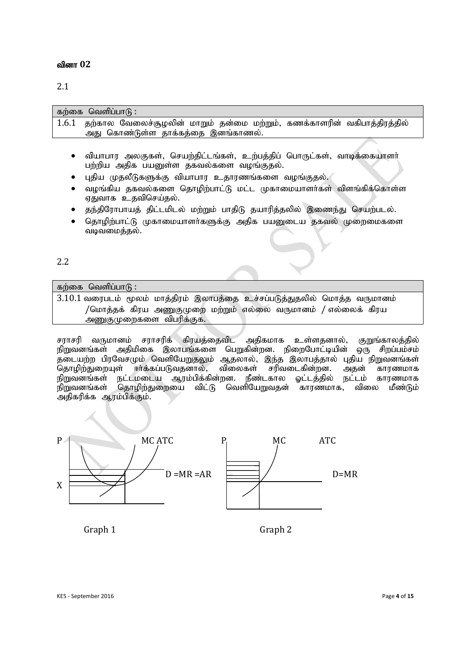#### 2.1

| கற்கை வெளிப்பாடு :                                                                                                       |
|--------------------------------------------------------------------------------------------------------------------------|
| 1.6.1 தற்கால வேலைச்சூழலின் மாறும் தன்மை மற்றும், கணக்காளரின் வகிபாத்திரத்தில்                                            |
| அது கொண்டுள்ள தாக்கத்தை இனங்காணல்.                                                                                       |
|                                                                                                                          |
| வியாபார அலகுகள், செயற்திட்டங்கள், உற்பத்திப் பொருட்கள், வாடிக்கையாளர்<br>பற்றிய அதிக பயனுள்ள தகவல்களை வழங்குதல்.         |
| புதிய முதலீடுகளுக்கு வியாபார உதாரணங்களை வழங்குதல்.<br>$\sim$ $\sim$ $\sim$ $\sim$ $\sim$ $\sim$<br>$\cdot$ $\sim$ $\sim$ |

- $\bullet$  வழங்கிய தகவல்களை தொழிற்பாட்டு மட்ட முகாமையாளர்கள் விளங்கிக்கொள்ள ஏதுவாக உதவிசெய்தல்.
- $\bullet$  தந்திரோபாயத் திட்டமிடல் மற்றும் பாதிடு தயாரித்தலில் இணைந்து செயற்படல்.
- தொழிற்பாட்டு முகாமையாளர்களுக்கு அதிக பயனுடைய தகவல் முறைமைகளை வடிவமைத்தல்.

2.2

கற்கை வெளிப்பா $f$ ;  $3.10.1$  வரைபடம் மூலம் மாத்திரம் இலாபத்தை உச்சப்படுத்துதலில் மொத்த வருமானம் /மொத்தக் கிரய அணுகுமுறை மற்றும் எல்லை வருமானம் / எல்லைக் கிரய அணுகுமுறைகளை விபரிக்குக.

சராசரி வருமானம் சராசரிக் கிரயத்தைவிட அதிகமாக உள்ளதனால், குறுங்காலத்தில்<br>நிறுவனங்கள் அதிமிகை இலாபங்களை பெறுகின்றன. நிறைபோட்டியின் ஒரு சிறப்பம்சம் நிறுவனங்கள் அதிமிகை இலாபங்களை பெறுகின்றன. நிறைபோட்டியின் .<br>தடையற்ற பிரவேசமும் வெளியேறுதலும் ஆதலால், இந்த இலாபத்தால் புதிய நிறுவனங்கள்<br>தொமிற்துறையுள் ஈர்க்கப்படுவதனால், விலைகள் சரிவடைகின்றன. அதன் காரணமாக .<br>தொழிற்துறையுள் ஈர்க்கப்படுவதனால், விலைகள் சரிவடைகின்றன. அதன் காரணமாக<br>நிறுவனங்கள் நட்டமடைய ஆரம்பிக்கின்றன. நீண்டகால ஓட்டத்தில் நட்டம் காரணமாக .<br>நிறுவனங்கள் நட்டமடைய ஆரம்பிக்கின்றன. நீண்டகால ஓட்டத்தில் நட்டம் காரணமாக<br>நிறுவனங்கள் கொமிற்துறையை விட்டு வெளியேறுவதன் காரணமாக, விலை மீண்டும் <u>தொழிற்துறையை விட்டு வெளியேறுவத</u>ன் காரணமாக, அதிகரிக்க ஆரம்பிக்கும்.



Graph 1 Graph 2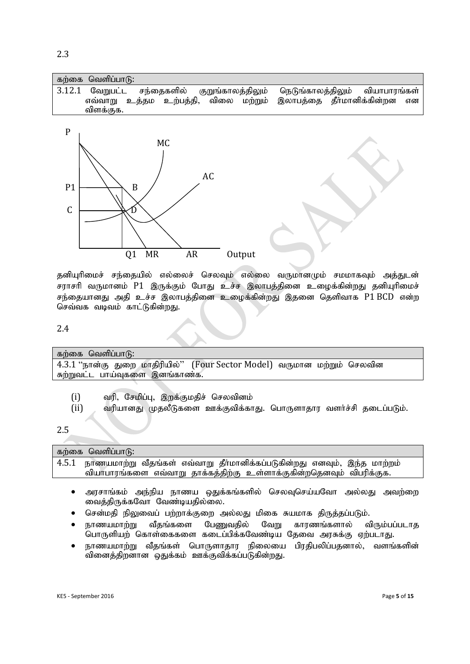| கற்கை வெளிப்பாடு: |  |  |                                                                                                                                                  |  |  |
|-------------------|--|--|--------------------------------------------------------------------------------------------------------------------------------------------------|--|--|
| விளக்குக.         |  |  | 3.12.1 வேறுபட்ட சந்தைகளில் குறுங்காலத்திலும் நெடுங்காலத்திலும் வியாபாரங்கள்<br>எவ்வாறு உத்தம உற்பத்தி, விலை மற்றும் இலாபத்தை தீர்மானிக்கின்றன என |  |  |
|                   |  |  |                                                                                                                                                  |  |  |



தனியுரிமைச் சந்தையில் எல்லைச் செலவும் எல்லை வருமானமும் சமமாகவும் அத்துடன் சராசரி வருமானம் P1 இருக்கும் போது உச்ச இலாபத்தினை உழைக்கின்றது தனியுரிமைச் சந்தையானது அதி உச்ச இலாபத்தினை உழைக்கின்றது இதனை தெளிவாக P1 BCD என்ற செவ்வக வடிவம் காட்டுகின்றது.

#### 2.4

| கற்கை வெளிப்பாடு:                                                        |  |  |  |  |  |  |  |
|--------------------------------------------------------------------------|--|--|--|--|--|--|--|
| 4.3.1 "நான்கு துறை மாதிரியில்" (Four Sector Model) வருமான மற்றும் செலவின |  |  |  |  |  |  |  |
| சுற்றுவட்ட பாய்வுகளை இனங்காண்க.                                          |  |  |  |  |  |  |  |
|                                                                          |  |  |  |  |  |  |  |

- $(i)$  வரி, சேமிப்பு, இறக்குமதிச் செலவினம்
- $(i)$  வரியானது முதலீடுகளை ஊக்குவிக்காது. பொருளாதார வளர்ச்சி தடைப்படும்.

2.5

| கற்கை வெளிப்பாடு:                                                              |  |
|--------------------------------------------------------------------------------|--|
| 4.5.1 நாணயமாற்று வீதங்கள் எவ்வாறு தீா்மானிக்கப்படுகின்றது எனவும், இந்த மாற்றம் |  |
| வியாபாரங்களை எவ்வாறு தாக்கத்திற்கு உள்ளாக்குகின்றதெனவும் விபரிக்குக.           |  |

- அரசாங்கம் அந்நிய நாணய ஒதுக்கங்களில் செலவுசெய்யவோ அல்லது அவற்றை வைத்திருக்கவோ வேண்டியதில்லை.
- சென்மகி நிலுவைப் பற்றாக்குறை அல்லது மிகை சுயமாக திருத்தப்படும்.
- நாணயமாற்று வீதங்களை பேணுவதில் வேறு காரணங்களால் விரும்பப்படாத பொருளியற் கொள்கைகளை கடைப்பிக்கவேண்டிய தேவை அரசுக்கு ஏற்படாது.
- நாணயமாற்று வீதங்கள் பொருளாதார நிலையை பிரதிபலிப்பதனால், வளங்களின் வினைத்திறனான ஒதுக்கம் ஊக்குவிக்கப்படுகின்றது.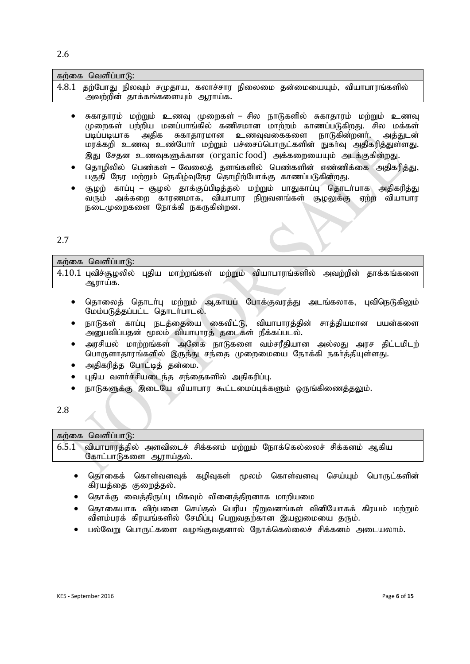| கற்கை வெளிப்பாடு:               |  |  |  |  |  |  |                                                                           |  |  |
|---------------------------------|--|--|--|--|--|--|---------------------------------------------------------------------------|--|--|
|                                 |  |  |  |  |  |  | 4.8.1 தற்போது நிலவும் சமுதாய, கலாச்சார நிலைமை தன்மையையும், வியாபாரங்களில் |  |  |
| அவற்றின் தாக்கங்களையும் ஆராய்க. |  |  |  |  |  |  |                                                                           |  |  |

- சுகாதாரம் மற்றும் உணவு முறைகள் சில நாடுகளில் சுகாதாரம் மற்றும் உணவு முறைகள் பற்றிய மனப்பாங்கில் கணிசமான மாற்றம் காணப்படுகிறது. சில மக்கள் படிப்படியாக அதிக சுகாதாரமான உணவுவகைகளை நாடுகின்றனர். அத்துடன் மரக்கறி உணவு உண்போர் மற்றும் பச்சைப்பொருட்களின் நுகர்வு அதிகரிக்குள்ளது. இது சேதன உணவுகளுக்கான (organic food) அக்கறையையும் அடக்குகின்றது.
- தொழிலில் பெண்கள் வேலைத் தளங்களில் பெண்களின் எண்ணிக்கை அதிகரித்து, பகுதி நேர மற்றும் நெகிழ்வுநேர தொழிற்போக்கு காணப்படுகின்றது.
- சூழற் காப்பு சூழல் தாக்குப்பிடித்தல் மற்றும் பாதுகாப்பு தொடர்பாக) அதிகரித்து வரும் அக்கறை காரணமாக, வியாபார நிறுவனங்கள் சூழலுக்கு ஏற்ற வியாபார நடைமுறைகளை நோக்கி நகருகின்றன.

#### 2.7

| கற்கை வெளிப்பாடு:                                                                                 |  |  |  |
|---------------------------------------------------------------------------------------------------|--|--|--|
| $\mid 4.10.1$ புவிச்சூழலில் புதிய மாற்றங்கள் மற்றும் வியாபாரங்களில் அவற்றின் தாக்கங்களை<br>ஆராயக. |  |  |  |

- தொலைத் தொடர்பு மற்றும் ஆகாயப் போக்குவரத்து அடங்கலாக, புவிநெடுகிலும் மேம்படுத்தப்பட்ட தொடர்பாடல்.
- நாடுகள் காப்பு நடத்தையை கைவிட்டு, வியாபாரத்தின் சாத்தியமான பயன்களை .<br>அனுபவிப்பதன் மூலம் வியாபாரத் தடைகள் நீக்கப்படல்.
- அரசியல் மாற்றங்கள் அனேக நாடுகளை வம்சரீதியான அல்லது அரச திட்டமிடற் பொருளாதாரங்களில் இருந்து சந்தை முறைமையை நோக்கி நகாத்தியுள்ளது.
- அதிகரிக்க போட்டிக் கன்மை.
- புதிய வளர்ச்சியடைந்த சந்தைகளில் அதிகரிப்பு.
- நாடுகளுக்கு இடையே வியாபார கூட்டமைப்புக்களும் ஒருங்கிணைத்தலும்.

#### 2.8

| கற்கை வெளிப்பாடு:     |  |                                                                          |  |  |
|-----------------------|--|--------------------------------------------------------------------------|--|--|
|                       |  | 6.5.1 வியாபாரத்தில் அளவிடைச் சிக்கனம் மற்றும் நோக்கெல்லைச் சிக்கனம் ஆகிய |  |  |
| கோட்பாடுகளை ஆராய்தல். |  |                                                                          |  |  |
|                       |  |                                                                          |  |  |

- கொகைக் கொள்வனவக் கமிவகள் மூலம் கொள்வனவ செய்யம் பொருட்களின் கிரயத்தை குறைத்தல்.
- தொக்கு வைத்திருப்பு மிகவும் வினைத்திறனாக மாறியமை
- தொகையாக விற்பனை செய்தல் பெரிய நிறுவனங்கள் வினியோகக் கிரயம் மற்றும் விளம்பரக் கிரயங்களில் சேமிப்பு பெறுவதற்கான இயலுமையை தரும்.
- பல்வேறு பொருட்களை வழங்குவதனால் நோக்கெல்லைச் சிக்கனம் அடையலாம்.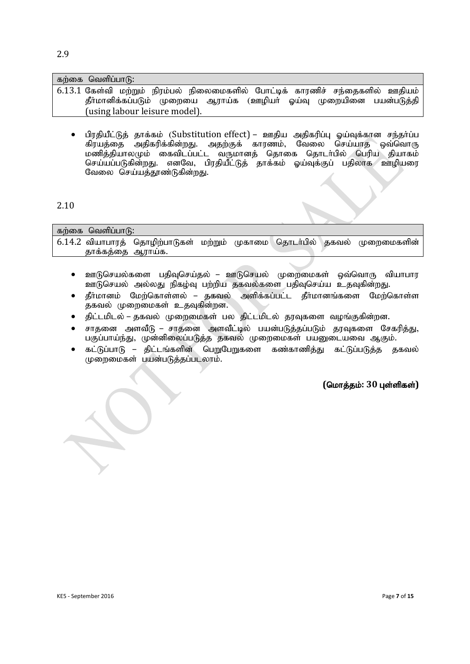| கற்கை வெளிப்பாடு:                                                                                                                                                                     |
|---------------------------------------------------------------------------------------------------------------------------------------------------------------------------------------|
| 6.13.1 கேள்வி மற்றும் நிரம்பல் நிலைமைகளில் போட்டிக் காரணிச் சந்தைகளில் ஊதியம்<br>தீா்மானிக்கப்படும் முறையை ஆராய்க (ஊழியா் ஓய்வு முறையினை பயன்படுத்தி<br>(using labour leisure model). |

பிரதியீட்டுத் தாக்கம் (Substitution effect) – ஊதிய அதிகரிப்ப லய்வக்கான சந்தர்ப்ப ்கிரயக்கை அகிகரிக்கின்றது. அகற்குக் காரணம், வேலை செய்யாக வைவொரு மணித்தியாலமும் கைவிடப்பட்ட வருமானத் தொகை தொடர்பில் பெரிய தியாகம் .<br>செய்யப்படுகின்றது. எனவே, பிரதியீட்டுத் தாக்கம் ஓய்வுக்குப் பதிலாக ஊழியரை வேலை செய்யக்காண்டுகின்றது.

#### 2.10

| ்கற்கை வெளிப்பாடு: |                |                                                                                  |  |  |  |  |  |  |
|--------------------|----------------|----------------------------------------------------------------------------------|--|--|--|--|--|--|
|                    |                | $\mid$ 6.14.2 வியாபாரத் தொழிற்பாடுகள் மற்றும் முகாமை தொடர்பில் தகவல் முறைமைகளின் |  |  |  |  |  |  |
|                    | தாககததை ஆராயக. |                                                                                  |  |  |  |  |  |  |

- ஊடுசெயல்களை பதிவுசெய்தல் ஊடுசெயல் முறைமைகள் ஒவ்வொரு வியாபார ஊடுசெயல் அல்லது நிகழ்வு பற்றிய தகவல்களை பதிவுசெய்ய உதவுகின்றது.
- தீர்மானம் மேற்கொள்ளல் தகவல் அளிக்கப்பட்ட தீர்மானங்களை மேற்கொள்ள தகவல் முறைமைகள் உதவுகின்றன.
- திட்டமிடல் தகவல் முறைமைகள் பல திட்டமிடல் தரவுகளை வழங்குகின்றன.
- சாதனை அளவீடு சாதனை அளவீட்டில் பயன்படுத்தப்படும் தரவுகளை சேகரித்து, பகுப்பாய்ந்து, முன்னிலைப்படுத்த தகவல் முறைமைகள் பயனுடையவை ஆகும்.
- கட்டுப்பாடு திட்டங்களின் பெறுபேறுகளை கண்காணித்து கட்டுப்படுத்த தகவல் முறைமைகள் பயன்படுத்தப்படலாம்.

 $($ மொக்கம்: 30 புள்ளிகள்)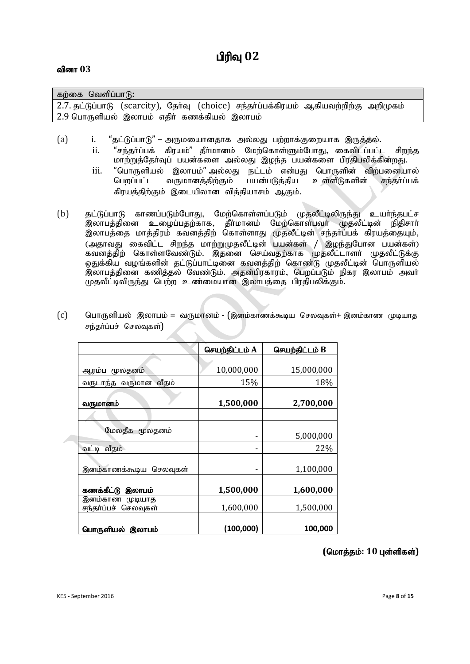| ுகற்கை வெளிப்பாடு: \                                                                  |  |  |  |  |  |  |  |
|---------------------------------------------------------------------------------------|--|--|--|--|--|--|--|
| 2.7. தட்டுப்பாடு (scarcity), தேர்வு (choice) சந்தர்ப்பக்கிரயம் ஆகியவற்றிற்கு அறிமுகம் |  |  |  |  |  |  |  |
| 2.9 பொருளியல் இலாபம் எதிர் கணக்கியல் இலாபம்                                           |  |  |  |  |  |  |  |

- (a) i. "தட்டுப்பாடு" அருமயைானதாக அல்லது பற்றாக்குறையாக இருத்தல்.
	- ii. "சந்தா்ப்பக் கிரயம்" தீா்மானம் மேற்கொள்ளும்போது, கைவிடப்பட்ட சிறந்த மாற்றுத்தோவுப் பயன்களை அல்லது இழந்த பயன்களை பிரதிபலிக்கின்றது.
	- iii. "பொருளியல் இலாபம்"அல்லது நட்டம் என்பது பொருளின் விற்பனையால்<br>பெறப்பட்ட வருமானத்திற்கும் பயன்படுத்திய உள்ளீடுகளின் சந்தா்ப்பக் வருமானத்திற்கும் கிரயத்திற்கும் இடையிலான வித்தியாசம் ஆகும்.
- (b) தட்டுப்பாடு காணப்படும்போது, மேற்கொள்ளப்படும் முதலீட்டிலிருந்து உயர்ந்தபட்ச .<br>இலாபக்கினை உமைப்பகற்காக, கீர்மானம் மேற்கொள்பவர் முகலீட்டின் நிகிசார் இலாபத்தை மாத்திரம் கவனத்திற் கொள்ளாது முதலீட்டின் சந்தா்ப்பக் கிரயத்தையும், ு<br>(அதாவது கைவிட்ட சிறந்த மாற்றுமுதலீட்டின் பயன்கள் / இழந்துபோன பயன்கள்) கவனத்திற் கொள்ளவேண்டும். இதனை செய்வதற்காக முதலீட்டாளர் முதலீட்டுக்கு ஒதுக்கிய வழங்களின் தட்டுப்பாட்டினை கவனத்திற் கொண்டு முதலீட்டின் பொருளியல் இலாபக்கினை கணிக்கல் வேண்டும். அகன்பிரகாரம், பெறப்படும் நிகர இலாபம் அவர் முதலீட்டிலிருந்து பெற்ற உண்மையான இலாபத்தை பிரதிபலிக்கும்.

|                                            | செயற்திட்டம் A | செயற்திட்டம் B |
|--------------------------------------------|----------------|----------------|
|                                            |                |                |
| ஆரம்ப மூலதனம்                              | 10,000,000     | 15,000,000     |
| வீதம்<br>வருடாந்த வருமான                   | 15%            | 18%            |
| வருமானம்                                   | 1,500,000      | 2,700,000      |
|                                            |                |                |
| மேலதீக மூலதனம்                             | -              | 5,000,000      |
| வட்டி வீதம்                                |                | 22%            |
| இனம்காணக்கூடிய செலவுகள்                    |                | 1,100,000      |
| கணக்கீட்டு<br>இலாபம்                       | 1,500,000      | 1,600,000      |
| இனம்காண<br>முடியாத<br>சந்தர்ப்பச் செலவுகள் | 1,600,000      | 1,500,000      |
| பொருளியல் இலாபம்                           | (100, 000)     | 100,000        |

 $(c)$  பொருளியல் இலாபம் = வருமானம் - (இனம்காணக்கூடிய செலவுகள்+ இனம்காண முடியாத சந்தர்ப்பச் செலவுகள்)

#### $($ மொத்தம்: 10 புள்ளிகள்)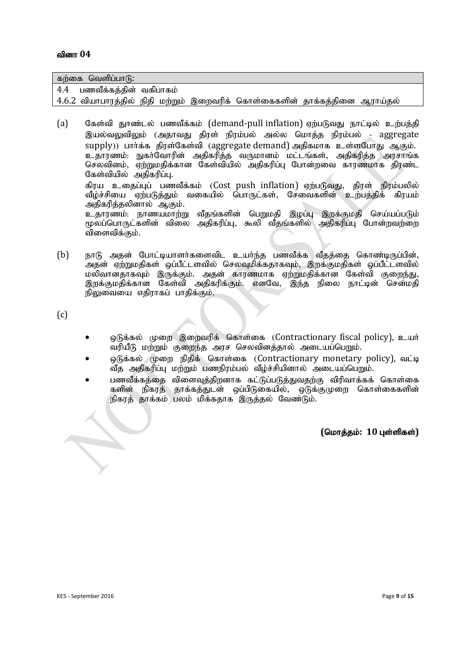| கற்கை வெளிப்பாடு:          |  |                                                                            |  |
|----------------------------|--|----------------------------------------------------------------------------|--|
| 4.4 பணவீக்கத்தின் வகிபாகம் |  |                                                                            |  |
|                            |  | 4.6.2 வியாபாரத்தில் நிதி மற்றும் இறைவரிக் கொள்கைகளின் தாக்கத்தினை ஆராய்தல் |  |

(a)  $\;$  கேள்வி தூண்டல் பணவீக்கம் (demand-pull inflation) ஏற்படுவது நாட்டில் உற்பத்தி இயல்வலுவிலும் (அதாவது திரள் நிரம்பல் அல்ல மொக்க நிரம்பல் - aggregate supply)) பார்க்க திரள்கேள்வி (aggregate demand) அதிகமாக உள்ளபோது ஆகும். உதாரணம்: நுகா்வோரின் அதிகரித்த வருமானம் மட்டங்கள், அதிகரித்த அரசாங்க செலவினம், ஏற்றுமதிக்கான கேள்வியில் அதிகரிப்பு போன்றவை காரணமாக திரண்ட கேள்வியில் அதிகரிப்பு. கிரய உதைப்புப் பணவீக்கம் (Cost push inflation) ஏற்படுவது, திரள் நிரம்பலில் வீழ்ச்சியை ஏற்படுத்தும் வகையில் பொருட்கள், சேவைகளின் உற்பத்திக் கிரயம் அதிகரிக்கலினால் ஆகும். உதாரணம்: நாணயமாற்று வீதங்களின் பெறுமதி இழப்பு இறக்குமதி செய்யப்படும்

rமலப்பொருட்களின் விலை அகிகரிப்ப. கூலி வீகங்களில் அகிகரிப்ப போன்றவற்றை விளைவிக்கும்.

(b) நாடு அதன் போட்டியாளர்களைவிட உயர்ந்த பணவீக்க வீதத்தை கொண்டிருப்பின், .<br>அதன் ஏற்றுமதிகள் ஒப்பீட்டளவில் செலவுமிக்கதாகவும். இறக்குமதிகள் ஒப்பீட்டளவில் மலிவானதாகவும் இருக்கும். அதன் காரணமாக ஏற்றுமதிக்கான கேள்வி குறைந்து, இறக்குமதிக்கான கேள்வி அதிகரிக்கும். எனவே, இந்த நிலை நாட்டின் சென்மதி நிலுவையை எதிராகப் பாதிக்கும்.

(c)

- ஒடுக்கல் முறை இறைவரிக் கொள்கை (Contractionary fiscal policy), உயர் வரியீடு மற்றும் குறைந்த அரச செலவினத்தால் அடையப்பெறும்.
- நெக்கல் முறை நிதிக் கொள்கை (Contractionary monetary policy), வட்டி ்வீத அதிகரிப்பு மற்றும் பணநிரம்பல் வீழ்ச்சியினால் அடையப்பெறும்.
- பணவீக்கத்தை விளைவுத்திறனாக கட்டுப்படுத்துவதற்கு விரிவாக்கக் கொள்கை களின் நிகாக் காக்கக்குடன் வப்பிடுகையில், ஒடுக்குமுறை கொள்கைகளின் நிகரத் தாக்கம் பலம் மிக்கதாக இருத்தல் வேண்டும்.

 $($ மொத்தம்: 10 புள்ளிகள்)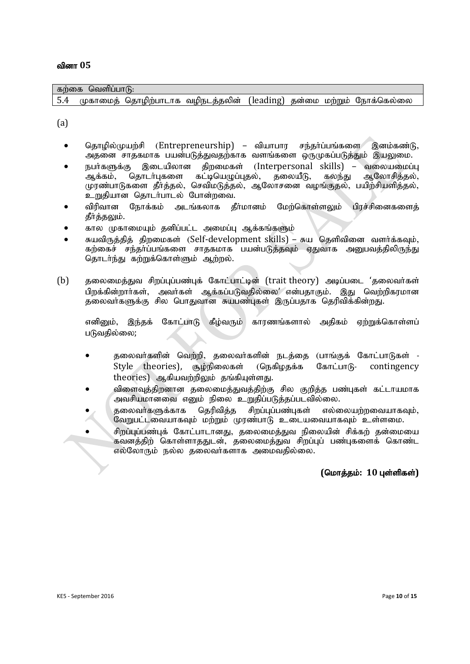| கற்கை வெளிப்பாடு: |  |  |  |  |  |  |                                                                      |  |  |  |
|-------------------|--|--|--|--|--|--|----------------------------------------------------------------------|--|--|--|
| 5.4               |  |  |  |  |  |  | முகாமைத் தொழிற்பாடாக வழிநடத்தலின் (leading) தன்மை மற்றும் நோக்கெல்லை |  |  |  |
|                   |  |  |  |  |  |  |                                                                      |  |  |  |
| (a)               |  |  |  |  |  |  |                                                                      |  |  |  |

- தொழில்முயற்சி (Entrepreneurship) வியாபார சந்தர்ப்பங்களை இனம்கண்டு, அதனை சாதகமாக பயன்படுத்துவதற்காக வளங்களை ஒருமுகப்படுத்தும் இயலுமை.
- நபர்களுக்கு இடையிலான திறமைகள் (Interpersonal skills) வலையமைப்பு ஆக்கம், தொடர்புகளை கட்டியெழுப்புதல், தலையீடு, கலந்து ஆலோசித்தல், முரண்பாடுகளை தீர்த்தல், செவிமடுத்தல், ஆலோசனை வழங்குதல், பயிற்சியளித்தல், உறுதியான தொடர்பாடல் போன்றவை.
- விரிவான நோக்கம் அடங்கலாக கீர்மானம் மேற்கொள்ளலும் பிரச்சினைகளைக் தீர்த்தலும்.
- கால முகாமையும் தனிப்பட்ட அமைப்பு ஆக்கங்களும்
- சுயவிருத்தித் திறமைகள் (Self-development skills) சுய தெளிவினை வளர்க்கவும், கற்கைச் சந்தா்ப்பங்களை சாதகமாக பயன்படுத்தவும் ஏதுவாக அனுபவத்திலிருந்து தொடர்ந்து கற்றுக்கொள்ளும் ஆற்றல்.
- (b) தலைமைத்துவ சிறப்புப்பண்புக் கோட்பாட்டின் (trait theory) அடிப்படை 'தலைவர்கள் பிறக்கின்றார்கள், அவர்கள் ஆக்கப்படுவதில்லை' என்பதாகும். இது வெற்றிகரமான தலைவாகளுக்கு சில பொதுவான சுயபண்புகள் இருப்பதாக தெரிவிக்கின்றது.

எனினும், இந்தக் கோட்பாடு கீழ்வரும் காரணங்களால் அதிகம் ஏற்றுக்கொள்ளப் படுவதில்லை;

- தலைவர்களின் வெற்றி, தலைவர்களின் நடத்தை (பாங்குக் கோட்பாடுகள் -Style theories), சூழ்நிலைகள் (நெகிழதக்க கோட்பாடு- contingency  $theories)$  ஆகியவற்றிலும் தங்கியுள்ளது.
- விளைவுத்திறனான தலைமைத்துவத்திற்கு சில குறித்த பண்புகள் கட்டாயமாக அவசியமானவை எனும் நிலை உறுதிப்படுத்தப்படவில்லை.
- தலைவர்களுக்காக தெரிவித்த சிறப்புப்பண்புகள் எல்லையற்றவையாகவும்,  $\overline{0}$ வறுபட்டவையாகவும் மற்றும் முரண்பாடு உடையவையாகவும் உள்ளமை.
- சிறப்பப்பண்பக் கோட்பாடானகு, கலைமைக்குவ நிலையின் சிக்கற் கன்மையை கவனத்திற் கொள்ளாததுடன், தலைமைத்துவ சிறப்புப் பண்புகளைக் கொண்ட எல்லோரும் நல்ல தலைவர்களாக அமைவதில்லை.

#### $($ மொத்தம்: 10 புள்ளிகள்)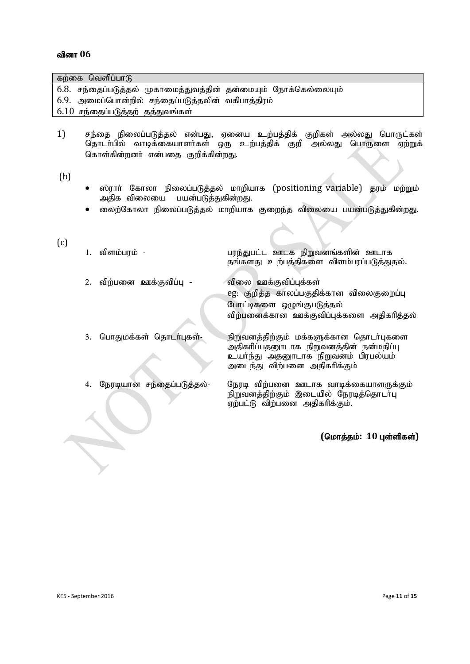| கற்கை வெளிப்பாடு                                                                                                                                                                             |                                                                                                                                                           |  |  |  |  |  |  |  |  |
|----------------------------------------------------------------------------------------------------------------------------------------------------------------------------------------------|-----------------------------------------------------------------------------------------------------------------------------------------------------------|--|--|--|--|--|--|--|--|
| 6.8. சந்தைப்படுத்தல் முகாமைத்துவத்தின் தன்மையும் நோக்கெல்லையும்                                                                                                                              |                                                                                                                                                           |  |  |  |  |  |  |  |  |
| 6.9. அமைப்பொன்றில் சந்தைப்படுத்தலின் வகிபாத்திரம்                                                                                                                                            |                                                                                                                                                           |  |  |  |  |  |  |  |  |
| 6.10 சந்தைப்படுத்தற் தத்துவங்கள்                                                                                                                                                             |                                                                                                                                                           |  |  |  |  |  |  |  |  |
|                                                                                                                                                                                              |                                                                                                                                                           |  |  |  |  |  |  |  |  |
| 1)<br>சந்தை நிலைப்படுத்தல் என்பது, ஏனைய உற்பத்திக் குறிகள் அல்லது பொருட்கள்<br>தொடா்பில் வாடிக்கையாளா்கள் ஒரு உற்பத்திக் குறி<br>அல்லது பொருளை ஏற்றுக்<br>கொள்கின்றனா் என்பதை குறிக்கின்றது. |                                                                                                                                                           |  |  |  |  |  |  |  |  |
| (b)<br>ஸ்ரார் கோலா நிலைப்படுத்தல் மாறியாக (positioning variable) தரம் மற்றும்                                                                                                                |                                                                                                                                                           |  |  |  |  |  |  |  |  |
|                                                                                                                                                                                              | அதிக விலையை<br>பயன்படுத்துகின்றது.<br>லைற்கோலா நிலைப்படுத்தல் மாறியாக குறைந்த விலையை பயன்படுத்துகின்றது.                                                  |  |  |  |  |  |  |  |  |
|                                                                                                                                                                                              |                                                                                                                                                           |  |  |  |  |  |  |  |  |
| (c)<br>விளம்பரம் -<br>1.                                                                                                                                                                     | பரந்துபட்ட ஊடக நிறுவனங்களின் ஊடாக<br>தங்களது உற்பத்திகளை விளம்பரப்படுத்துதல்.                                                                             |  |  |  |  |  |  |  |  |
| விற்பனை ஊக்குவிப்பு -<br>2.                                                                                                                                                                  | விலை ஊக்குவிப்புக்கள்                                                                                                                                     |  |  |  |  |  |  |  |  |
|                                                                                                                                                                                              | eg: குறித்த காலப்பகுதிக்கான விலைகுறைப்பு                                                                                                                  |  |  |  |  |  |  |  |  |
|                                                                                                                                                                                              | போட்டிகளை ஒழுங்குபடுத்தல்                                                                                                                                 |  |  |  |  |  |  |  |  |
|                                                                                                                                                                                              | விற்பனைக்கான ஊக்குவிப்புக்களை அதிகரித்தல்                                                                                                                 |  |  |  |  |  |  |  |  |
|                                                                                                                                                                                              |                                                                                                                                                           |  |  |  |  |  |  |  |  |
| பொதுமக்கள் தொடர்புகள்-<br>3.                                                                                                                                                                 | நிறுவனத்திற்கும் மக்களுக்கான தொடர்புகளை<br>அதிகரிப்பதனூடாக நிறுவனத்தின் நன்மதிப்பு<br>உயா்ந்து அதனூடாக நிறுவனம் பிரபல்யம்<br>அடைந்து விற்பனை அதிகரிக்கும் |  |  |  |  |  |  |  |  |
| நேரடியான சந்தைப்படுத்தல்-<br>4.                                                                                                                                                              | நேரடி விற்பனை ஊடாக வாடிக்கையாளருக்கும்<br>நிறுவனத்திற்கும் இடையில் நேரடித்தொடா்பு<br>ஏற்பட்டு விற்பனை அதிகரிக்கும்.                                       |  |  |  |  |  |  |  |  |
|                                                                                                                                                                                              |                                                                                                                                                           |  |  |  |  |  |  |  |  |
|                                                                                                                                                                                              | (மொத்தம்: $10$ புள்ளிகள்)                                                                                                                                 |  |  |  |  |  |  |  |  |
|                                                                                                                                                                                              |                                                                                                                                                           |  |  |  |  |  |  |  |  |
|                                                                                                                                                                                              |                                                                                                                                                           |  |  |  |  |  |  |  |  |
|                                                                                                                                                                                              |                                                                                                                                                           |  |  |  |  |  |  |  |  |
|                                                                                                                                                                                              |                                                                                                                                                           |  |  |  |  |  |  |  |  |
|                                                                                                                                                                                              |                                                                                                                                                           |  |  |  |  |  |  |  |  |
|                                                                                                                                                                                              |                                                                                                                                                           |  |  |  |  |  |  |  |  |
|                                                                                                                                                                                              |                                                                                                                                                           |  |  |  |  |  |  |  |  |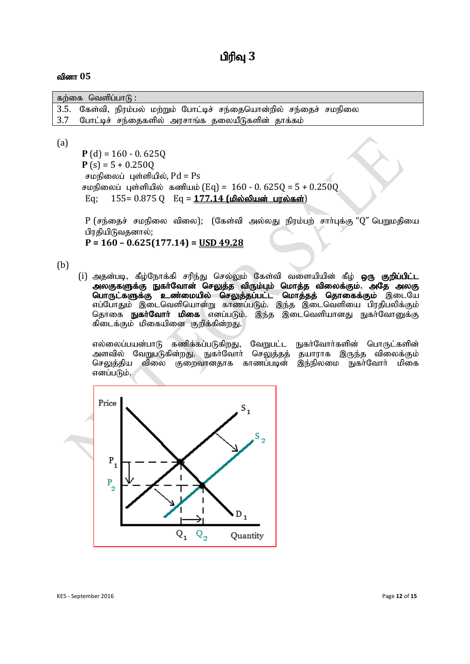| கற்கை வெளிப்பாடு : |  |  |  |  |                                                                     |  |  |  |
|--------------------|--|--|--|--|---------------------------------------------------------------------|--|--|--|
|                    |  |  |  |  | 3.5. கேள்வி, நிரம்பல் மற்றும் போட்டிச் சந்தையொன்றில் சந்தைச் சமநிலை |  |  |  |
|                    |  |  |  |  | 3.7 போட்டிச் சந்தைகளில் அரசாங்க தலையீடுகளின் தாக்கம்                |  |  |  |

#### (a)

**P**  $(d) = 160 - 0.625Q$ **P** (s) =  $5 + 0.250Q$ சமநிலைப் புள்ளியில்,  $Pd = Ps$ சமநிலைப் புள்ளியில் கணியம் (Eq) =  $160 - 0.6250 = 5 + 0.2500$ Eq; 155= 0.875 Q Eq = 177.14 (மில்லியன் பரல்கள்)

 $P$  (சந்தைச் சமநிலை விலை); (கேள்வி அல்லது நிரம்பற் சார்புக்கு "Q" பெறுமதியை பிரதியிடுவதனால்;

**P = 160 – 0.625(177.14) = USD 49.28**

(b)

(i) அதன்படி, கீழ்நோக்கி சரிந்து செல்லும் கேள்வி வளையியின் கீழ் **ஒரு குறிப்பிட்ட** அலகுகளுக்கு நுகர்வோன் செலுத்த விரும்பும் மொத்த விலைக்கும், அதே அலகு பொருட்களுக்கு உண்மையில் செலுத்தப்பட்ட மொத்தத் தொகைக்கும் இடையே எப்போதும் இடைவெளியொன்று காணப்படும். இந்த இடைவெளியை பிரதிபலிக்கும் தொகை **நுகர்வோர் மிகை** எனப்படும். இந்த இடைவெளியானது நுகர்வோனுக்கு கிடைக்கும் மிகையினை குறிக்கின்றது.

எல்லைப்பயன்பாடு கணிக்கப்படுகிறது, வேறுபட்ட நுகர்வோர்களின் பொருட்களின் அளவில் வேறுபடுகின்றது. நுகர்வோர் செலுத்தத் தயாராக இருந்த விலைக்கும்<br>செலுத்திய விலை குறைவானதாக காணப்படின் இந்நிலமை நுகர்வோர் மிகை செலுத்திய விலை குறைவானதாக காணப்படின் எனப்படும்.

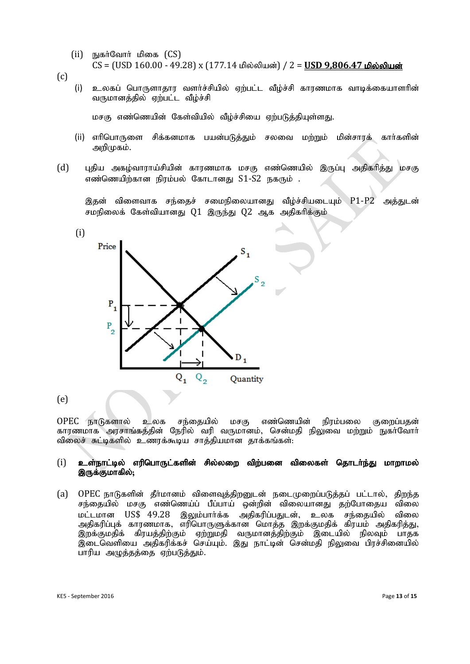- (ii) நுகர்வோர் மிகை  $(CS)$ CS = (USD 160.00 - 49.28) x (177.14 மில்லியன்) / 2 = **USD 9.806.47 மில்லியன்**
- (c)

(i) உலகப் பொருளாதார வளர்ச்சியில் ஏற்பட்ட வீழ்ச்சி காரணமாக வாடிக்கையாளரின் வருமானத்தில் ஏற்பட்ட வீழ்ச்சி

மசகு எண்ணெயின் கேள்வியில் வீழ்ச்சியை ஏற்படுத்தியுள்ளது.

- (ii) எரிபொருளை சிக்கனமாக பயன்படுக்கும் சலவை மற்றும் மின்சாரக் கார்களின் அறிமுகம்.
- (d) புதிய அகழ்வாராய்சியின் காரணமாக மசகு எண்ணெயில் இருப்பு அதிகரித்து மசகு எண்ணெயிற்கான நிரம்பல் கோடானது  $S1-S2$  நகரும் .

இதன் விளைவாக சந்தைச் சமைநிலையானது வீழ்ச்சியடையும் P1-P2 அத்துடன் சமநிலைக் கேள்வியானது  $Q1$  இருந்து  $Q2$  ஆக அதிகரிக்கும்



(e)

OPEC நாடுகளால் உலக சந்தையில் மசகு எண்ணெயின் நிரம்பலை குறைப்பதன் காரணமாக அரசாங்கத்தின் நேரில் வரி வருமானம். சென்மதி நிலுவை மற்றும் நுகா்வோா் விலைச் சுட்டிகளில் உணரக்கூடிய சாத்தியமான தாக்கங்கள்:

#### $(i)$  உள்நாட்டில் எரிபொருட்களின் சில்லறை விற்பனை விலைகள் தொடர்ந்து மாறாமல் இருக்குமாகில்;

(a) OPEC நாடுகளின் தீர்மானம் விளைவுத்திறனுடன் நடைமுறைப்படுத்தப் பட்டால், திறந்த சந்தையில் மசகு எண்ணெய்ப் பீப்பாய் ஒன்றின் விலையானது தற்போதைய விலை மட்டமான US\$ 49.28 இலும்பார்க்க அதிகரிப்பதுடன், உலக சந்தையில் விலை அகிகரிப்பக் காாணமாக, எரிபொருளுக்கான மொக்க இறக்குமதிக் கிரயம் அகிகரிக்கு, இறக்குமதிக் கிரயக்கிற்கும் எற்றுமதி வருமானக்கிற்கும் இடையில் நிலவும் பாகக .<br>இடைவெளியை அதிகரிக்கச் செய்யும். இது நாட்டின் சென்மதி நிலுவை பிரச்சினையில் பாரிய அழுத்தத்தை ஏற்படுத்தும்.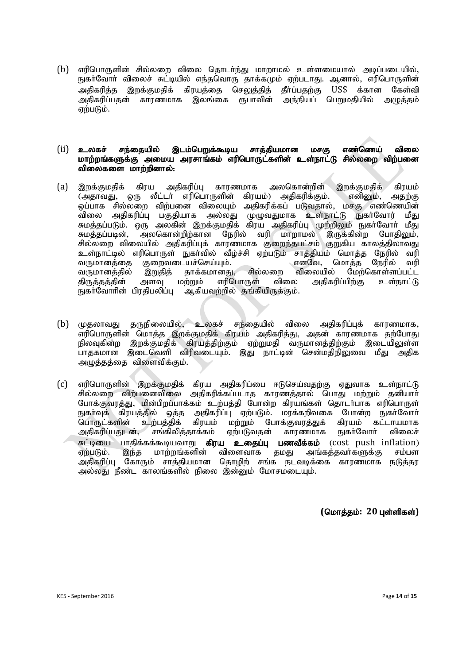(b) எரிபொருளின் சில்லறை விலை தொடர்ந்து மாறாமல் உள்ளமையால் அடிப்படையில், நுகர்வோர் விலைச் சுட்டியில் எந்தவொரு தாக்கமும் ஏற்படாது. ஆனால், எரிபொருளின் அதிகரித்த இறக்குமதிக் கிரயத்தை செலுத்தித் தீர்ப்பதற்கு US\$ க்கான கேள்வி அதிகரிப்பதன் காரணமாக இலங்கை ரூபாவின் அந்நியப் பெறுமதியில் அழுத்தம் ஏற்படும்.

#### $(i)$  உலகச் சந்தையில் இடம்பெறுக்கூடிய சாத்தியமான மசகு எண்ணெய் விலை மாற்றங்களுக்கு அமைய அரசாங்கம் எரிபொருட்களின் உள்நாட்டு சில்லறை விற்பனை விலைகளை மாற்றினால்:

- (a) இறக்குமதிக் கிரய அதிகரிப்பு காரணமாக அலகொன்றின் இறக்குமதிக் கிரயம்<br>டுதாவது, ஒரு லீட்டர் எரிபொருளின் கிரயம்) அதிகரிக்கும். எனிறும், அதற்கு (அதாவது, ஒரு லீட்டர் எரிபொருளின் கிரயம்) அதிகரிக்கும். எனினும், அதற்கு ஒப்பாக சில்லறை விற்பனை விலையும் அதிகரிக்கப் படுவதால், மசகு எண்ணெயின் விலை அதிகரிப்பு பகுதியாக அல்லது முழுவதுமாக உள்நாட்டு நுகா்வோர் மீது சுமத்தப்படும். ஒரு அலகின் இறக்குமதிக் கிரய அதிகரிப்பு முற்றிலும் நுகா்வோா் மீது சுமத்தப்படின், அலகொன்றிற்கான நேரில் வரி மாறாமல் இருக்கின்ற போதிலும், சில்லறை விலையில் அதிகரிப்புக் காரணமாக குறைந்தபட்சம் குறுகிய காலத்திலாவது உள்நாட்டில் எரிபொருள் நுகர்வில் வீழ்ச்சி ஏற்படும் சாத்தியம் மொத்த நேரில் வரி<br>வருமானத்தை குறைவடையச்செய்யும். எனவே, மொத்த நேரில் வரி வருமானத்தை குறைவடையச்செய்யும்.<br>வருமானத்தில் இறுதித் தாக்கமானது. சில்லறை விலையில் வருமானத்தில் இறுதித் தாக்கமானது, சில்லறை விலையில் மேற்கொள்ளப்பட்ட<br>கிருக்கத்தின் அளவு மற்றும் எரிபொருள் விலை அகிகரிப்பிற்கு உள்நாட்டு அளவு மற்றும் .<br>நுகர்வோரின் பிரதிபலிப்பு ஆகியவற்றில் தங்கியிருக்கும்.
- (b) முதலாவது தருநிலையில், உலகச் சந்தையில் விலை அதிகரிப்புக் காரணமாக, எரிபொருளின் மொத்த இறக்குமதிக் கிரயம் அதிகரித்து, அதன் காரணமாக தற்போது நிலவகின்ற இறக்குமதிக் கிரயத்திற்கும் ஏற்றுமதி வருமானத்திற்கும் இடையிலுள்ள .<br>பாதகமான இடைவெளி விரிவடையும். இது நாட்டின் சென்மதிநிலுவை மீது அதிக அழுத்தத்தை விளைவிக்கும்.
- $(c)$  எரிபொருளின் இறக்குமதிக் கிரய அதிகரிப்பை ஈடுசெய்வதற்கு ஏதுவாக உள்நாட்டு சில்லறை விற்பனைவிலை அதிகரிக்கப்படாத காரணத்தால் பொது மற்றும் தனியார் போக்குவரத்து, மின்பிறப்பாக்கம் உற்பத்தி போன்ற கிரயங்கள் தொடர்பாக எரிபொருள் நுகர்வுக் கிரயத்தில் ஒத்த அதிகரிப்பு ஏற்படும். மரக்கறிவகை போன்ற நுகர்வோர்<br>பொருட்களின் உற்பத்திக் கிரயம் மற்றும் போக்குவரத்துக் கிரயம் கட்டாயமாக ் கிரயம் மற்றும் போக்குவரத்துக் கிரயம் கட்டாயமாக<br>தாக்கம் எற்படுவதன் காரணமாக நுகர்வோர் விலைச் அதிகரிப்பதுடன், சங்கிலித்தாக்கம் ஏற்படுவதன் காரணமாக சுட்டியை பாதிக்கக்கூடியவாறு **கிரய உதைப்பு பணவீக்கம்** (cost push inflation)<br>ஏற்படும். இந்த மாற்றங்களின் விளைவாக தமது அங்கத்தவா்களுக்கு சம்பள ் விளைவாக தமது அங்கத்தவா்களுக்கு சம்பள அதிகரிப்பு கோரும் சாத்தியமான தொழிற் சங்க நடவடிக்கை காரணமாக நடுத்தர அல்லது நீண்ட காலங்களில் நிலை இன்னும் மோசமடையும்.

 $($ மொத்தம்: 20 புள்ளிகள்)